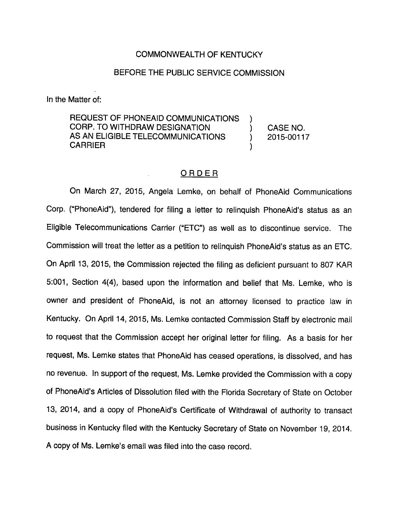## COMMONWEALTH OF KENTUCKY

## BEFORE THE PUBLIC SERVICE COMMISSION

In the Matter of:

REQUEST OF PHONEAID COMMUNICATIONS ) CORP. TO WITHDRAW DESIGNATION ) CASE NO. AS AN ELIGIBLE TELECOMMUNICATIONS (2015-00117 **CARRIER** 

## ORDER

On March 27, 2015, Angela Lemke, on behalf of PhoneAld Communications Corp. ("PhoneAld"), tendered for filing a letter to relinquish PhoneAld's status as an Eligible Telecommunications Carrier ("ETC") as well as to discontinue service. The Commission will treat the letter as a petition to relinquish PhoneAld's status as an ETC. On April 13, 2015, the Commission rejected the filing as deficient pursuant to 807 KAR 5:001, Section 4(4), based upon the information and belief that Ms. Lemke, who is owner and president of PhoneAid, is not an attorney licensed to practice law in Kentucky. On April 14, 2015, Ms. Lemke contacted Commission Staff by electronic mall to request that the Commission accept her original letter for filing. As a basis for her request, Ms. Lemke states that PhoneAid has ceased operations, is dissolved, and has no revenue. In support of the request, Ms. Lemke provided the Commission with a copy of PhoneAld's Articles of Dissolution filed with the Florida Secretary of State on October 13, 2014, and a copy of PhoneAld's Certificate of Withdrawal of authority to transact business in Kentucky filed with the Kentucky Secretary of State on November 19, 2014. A copy of Ms. Lemke's email was filed Into the case record.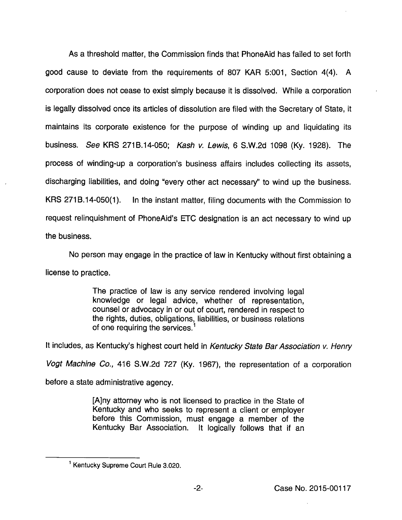As a threshold matter, the Commission finds that PhoneAld has failed to set forth good cause to deviate from the requirements of 807 KAR 5:001, Section 4(4). A corporation does not cease to exist simply because it is dissolved. While a corporation is legally dissolved once its articles of dissolution are filed with the Secretary of State, it maintains its corporate existence for the purpose of winding up and liquidating its business. See KRS 271B.14-050; Kash v. Lewis, 6 S.W.2d 1098 (Ky. 1928). The process of winding-up a corporation's business affairs includes collecting its assets, discharging liabilities, and doing "every other act necessary" to wind up the business. KRS 2718.14-050(1). In the instant matter, filing documents with the Commission to request relinquishment of PhoneAid's ETC designation is an act necessary to wind up the business.

No person may engage in the practice of law in Kentucky without first obtaining a license to practice.

> The practice of law is any service rendered involving legal knowledge or legal advice, whether of representation, counsel or advocacy in or out of court, rendered in respect to the rights, duties, obligations, liabilities, or business relations of one requiring the services. $<sup>1</sup>$ </sup>

It includes, as Kentucky's highest court held in Kentucky State Bar Association v. Henry

Vogt Machine Co., 416 S.W.2d 727 (Ky. 1967), the representation of a corporation

before a state administrative agency.

[A]ny attorney who is not licensed to practice in the State of Kentucky and who seeks to represent a client or employer before this Commission, must engage a member of the Kentucky Bar Association. It logically follows that if an

<sup>&</sup>lt;sup>1</sup> Kentucky Supreme Court Rule 3.020.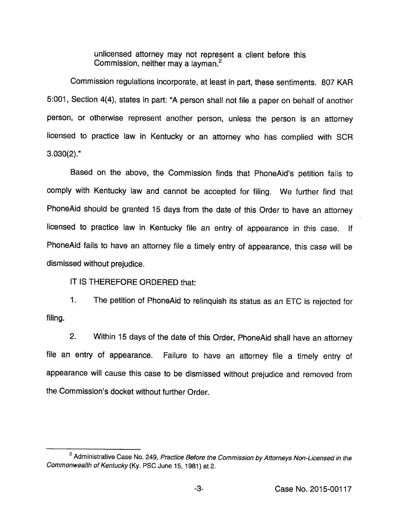unlicensed attorney may not represent a client before this Commission, neither may a layman. $<sup>2</sup>$ </sup>

Commission reguiations incorporate, at least in part, these sentiments. 807 KAR 5:001, Section 4(4), states in part: "A person shali not fiie a paper on behalf of another person, or otherwise represent another person, unless the person is an attorney licensed to practice law in Kentucky or an attorney who has complied with SCR 3.030(2)."

Based on the above, the Commission finds that PhoneAid's petition fails to comply with Kentucky law and cannot be accepted for filing. We further find that PhoneAid shouid be granted 15 days from the date of this Order to have an attorney iicensed to practice iaw in Kentucky fiie an entry of appearance in this case, if PhoneAid fails to have an attorney file a timely entry of appearance, this case will be dismissed without prejudice.

iT IS THEREFORE ORDERED that:

1. The petition of PhoneAid to reiinquish itsstatus as an ETC is rejected for filing.

2. Within 15 days of the date of this Order, PhoneAid shaii have an attorney fiie an entry of appearance. Faiiure to have an attorney fiie a timely entry of appearance will cause this case to be dismissed without prejudice and removed from the Commission's docket without further Order.

<sup>&</sup>lt;sup>2</sup> Administrative Case No. 249, Practice Before the Commission by Attorneys Non-Licensed in the Commonwealth of Kentucky (Ky. PSC June 15, 1981) at 2.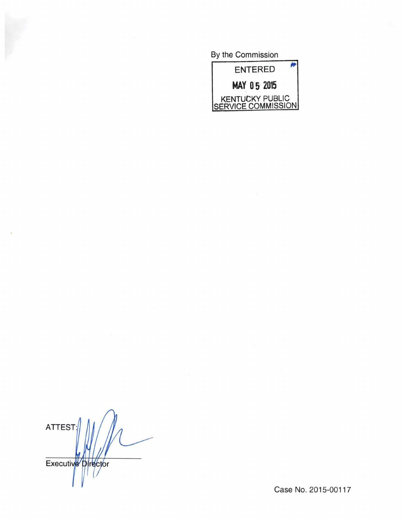By the Commission



**ATTEST:** Executive Director

Case No. 2015-00117